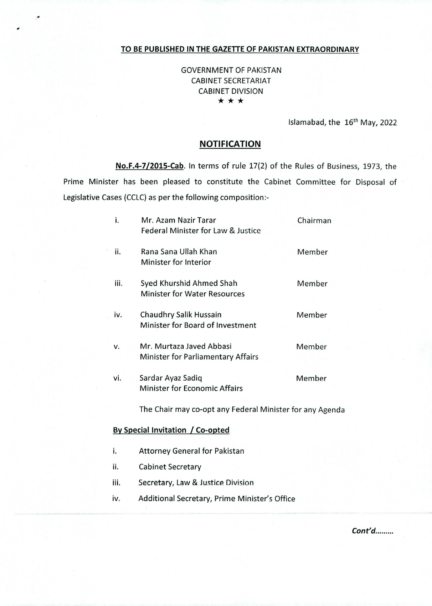## **TO BE PUBLISHED IN THE GAZETTE OF PAKISTAN EXTRAORDINARY**

GOVERNMENT OF PAKISTAN CABINET SECRETARIAT CABINET DIVISION \* \* \*

Islamabad, the 16<sup>th</sup> May, 2022

## **NOTIFICATION**

**No.F.4-7/2015-Cab.** In terms of rule 17(2) of the Rules of Business, 1973, the Prime Minister has been pleased to constitute the Cabinet Committee for Disposal of Legislative Cases (CCLC) as per the following composition:-

| i.                               |  | Mr. Azam Nazir Tarar<br>Federal Minister for Law & Justice            | Chairman |
|----------------------------------|--|-----------------------------------------------------------------------|----------|
| ii.                              |  | Rana Sana Ullah Khan<br><b>Minister for Interior</b>                  | Member   |
| iii.                             |  | Syed Khurshid Ahmed Shah<br><b>Minister for Water Resources</b>       | Member   |
| iv.                              |  | Chaudhry Salik Hussain<br>Minister for Board of Investment            | Member   |
| ٧.                               |  | Mr. Murtaza Javed Abbasi<br><b>Minister for Parliamentary Affairs</b> | Member   |
| vi.                              |  | Sardar Ayaz Sadiq<br><b>Minister for Economic Affairs</b>             | Member   |
|                                  |  | The Chair may co-opt any Federal Minister for any Agenda              |          |
| By Special Invitation / Co-opted |  |                                                                       |          |
| i.                               |  | <b>Attorney General for Pakistan</b>                                  |          |
| ii.                              |  | <b>Cabinet Secretary</b>                                              |          |
| iii.                             |  | Secretary, Law & Justice Division                                     |          |
| iv.                              |  | Additional Secretary, Prime Minister's Office                         |          |

Cont'd